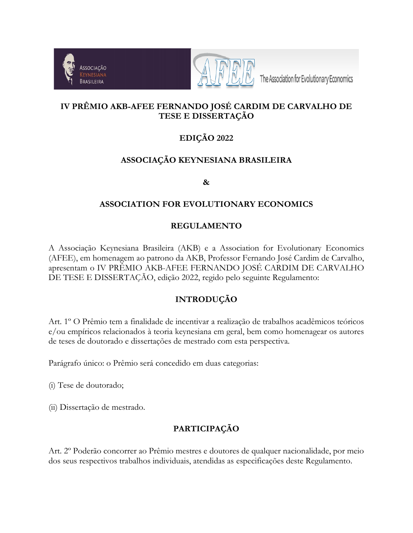



The Association for Evolutionary Economics

# **IV PRÊMIO AKB-AFEE FERNANDO JOSÉ CARDIM DE CARVALHO DE TESE E DISSERTAÇÃO**

# **EDIÇÃO 2022**

# **ASSOCIAÇÃO KEYNESIANA BRASILEIRA**

**&**

### **ASSOCIATION FOR EVOLUTIONARY ECONOMICS**

## **REGULAMENTO**

A Associação Keynesiana Brasileira (AKB) e a Association for Evolutionary Economics (AFEE), em homenagem ao patrono da AKB, Professor Fernando José Cardim de Carvalho, apresentam o IV PRÊMIO AKB-AFEE FERNANDO JOSÉ CARDIM DE CARVALHO DE TESE E DISSERTAÇÃO, edição 2022, regido pelo seguinte Regulamento:

## **INTRODUÇÃO**

Art. 1º O Prêmio tem a finalidade de incentivar a realização de trabalhos acadêmicos teóricos e/ou empíricos relacionados à teoria keynesiana em geral, bem como homenagear os autores de teses de doutorado e dissertações de mestrado com esta perspectiva.

Parágrafo único: o Prêmio será concedido em duas categorias:

(i) Tese de doutorado;

(ii) Dissertação de mestrado.

# **PARTICIPAÇÃO**

Art. 2º Poderão concorrer ao Prêmio mestres e doutores de qualquer nacionalidade, por meio dos seus respectivos trabalhos individuais, atendidas as especificações deste Regulamento.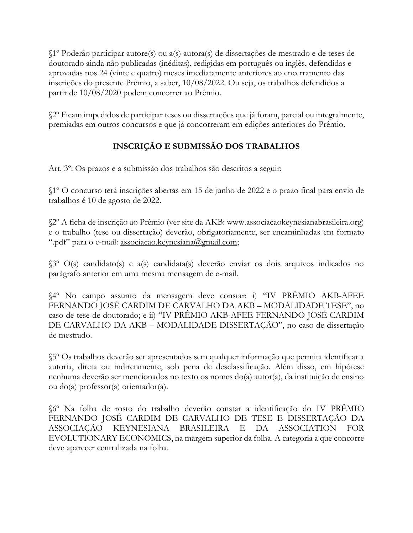§1º Poderão participar autore(s) ou a(s) autora(s) de dissertações de mestrado e de teses de doutorado ainda não publicadas (inéditas), redigidas em português ou inglês, defendidas e aprovadas nos 24 (vinte e quatro) meses imediatamente anteriores ao encerramento das inscrições do presente Prêmio, a saber, 10/08/2022. Ou seja, os trabalhos defendidos a partir de 10/08/2020 podem concorrer ao Prêmio.

§2º Ficam impedidos de participar teses ou dissertações que já foram, parcial ou integralmente, premiadas em outros concursos e que já concorreram em edições anteriores do Prêmio.

# **INSCRIÇÃO E SUBMISSÃO DOS TRABALHOS**

Art. 3º: Os prazos e a submissão dos trabalhos são descritos a seguir:

§1º O concurso terá inscrições abertas em 15 de junho de 2022 e o prazo final para envio de trabalhos é 10 de agosto de 2022.

§2º A ficha de inscrição ao Prêmio (ver site da AKB: www.associacaokeynesianabrasileira.org) e o trabalho (tese ou dissertação) deverão, obrigatoriamente, ser encaminhadas em formato ".pdf" para o e-mail: [associacao.keynesiana@gmail.com;](mailto:associacao.keynesiana@gmail.com)

§3º O(s) candidato(s) e a(s) candidata(s) deverão enviar os dois arquivos indicados no parágrafo anterior em uma mesma mensagem de e-mail.

§4º No campo assunto da mensagem deve constar: i) "IV PRÊMIO AKB-AFEE FERNANDO JOSÉ CARDIM DE CARVALHO DA AKB – MODALIDADE TESE", no caso de tese de doutorado; e ii) "IV PRÊMIO AKB-AFEE FERNANDO JOSÉ CARDIM DE CARVALHO DA AKB – MODALIDADE DISSERTAÇÃO", no caso de dissertação de mestrado.

§5º Os trabalhos deverão ser apresentados sem qualquer informação que permita identificar a autoria, direta ou indiretamente, sob pena de desclassificação. Além disso, em hipótese nenhuma deverão ser mencionados no texto os nomes do(a) autor(a), da instituição de ensino ou do(a) professor(a) orientador(a).

§6º Na folha de rosto do trabalho deverão constar a identificação do IV PRÊMIO FERNANDO JOSÉ CARDIM DE CARVALHO DE TESE E DISSERTAÇÃO DA ASSOCIAÇÃO KEYNESIANA BRASILEIRA E DA ASSOCIATION FOR EVOLUTIONARY ECONOMICS, na margem superior da folha. A categoria a que concorre deve aparecer centralizada na folha.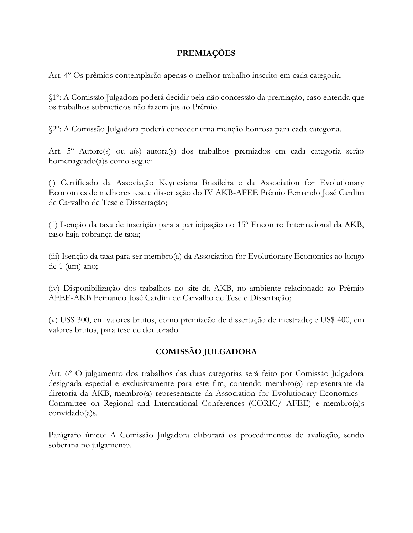#### **PREMIAÇÕES**

Art. 4º Os prêmios contemplarão apenas o melhor trabalho inscrito em cada categoria.

§1º: A Comissão Julgadora poderá decidir pela não concessão da premiação, caso entenda que os trabalhos submetidos não fazem jus ao Prêmio.

§2º: A Comissão Julgadora poderá conceder uma menção honrosa para cada categoria.

Art. 5º Autore(s) ou a(s) autora(s) dos trabalhos premiados em cada categoria serão homenageado(a)s como segue:

(i) Certificado da Associação Keynesiana Brasileira e da Association for Evolutionary Economics de melhores tese e dissertação do IV AKB-AFEE Prêmio Fernando José Cardim de Carvalho de Tese e Dissertação;

(ii) Isenção da taxa de inscrição para a participação no 15º Encontro Internacional da AKB, caso haja cobrança de taxa;

(iii) Isenção da taxa para ser membro(a) da Association for Evolutionary Economics ao longo de 1 (um) ano;

(iv) Disponibilização dos trabalhos no site da AKB, no ambiente relacionado ao Prêmio AFEE-AKB Fernando José Cardim de Carvalho de Tese e Dissertação;

(v) US\$ 300, em valores brutos, como premiação de dissertação de mestrado; e US\$ 400, em valores brutos, para tese de doutorado.

## **COMISSÃO JULGADORA**

Art. 6º O julgamento dos trabalhos das duas categorias será feito por Comissão Julgadora designada especial e exclusivamente para este fim, contendo membro(a) representante da diretoria da AKB, membro(a) representante da Association for Evolutionary Economics - Committee on Regional and International Conferences (CORIC/ AFEE) e membro(a)s convidado(a)s.

Parágrafo único: A Comissão Julgadora elaborará os procedimentos de avaliação, sendo soberana no julgamento.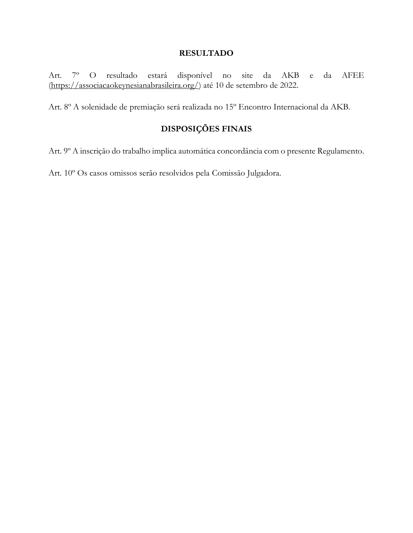#### **RESULTADO**

Art. 7º O resultado estará disponível no site da AKB e da AFEE [\(https://associacaokeynesianabrasileira.org/\)](https://associacaokeynesianabrasileira.org/) até 10 de setembro de 2022.

Art. 8º A solenidade de premiação será realizada no 15º Encontro Internacional da AKB.

# **DISPOSIÇÕES FINAIS**

Art. 9º A inscrição do trabalho implica automática concordância com o presente Regulamento.

Art. 10º Os casos omissos serão resolvidos pela Comissão Julgadora.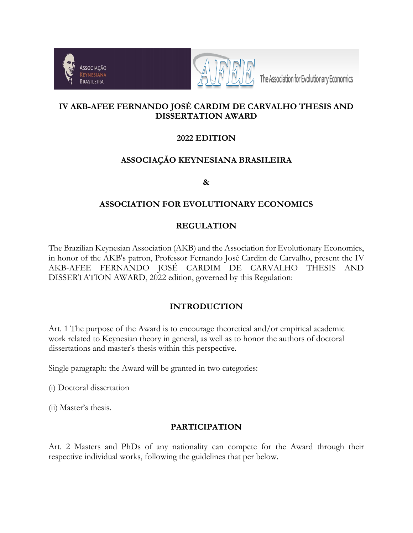



The Association for Evolutionary Economics

## **IV AKB-AFEE FERNANDO JOSÉ CARDIM DE CARVALHO THESIS AND DISSERTATION AWARD**

## **2022 EDITION**

### **ASSOCIAÇÃO KEYNESIANA BRASILEIRA**

**&**

#### **ASSOCIATION FOR EVOLUTIONARY ECONOMICS**

#### **REGULATION**

The Brazilian Keynesian Association (AKB) and the Association for Evolutionary Economics, in honor of the AKB's patron, Professor Fernando José Cardim de Carvalho, present the IV AKB-AFEE FERNANDO JOSÉ CARDIM DE CARVALHO THESIS AND DISSERTATION AWARD, 2022 edition, governed by this Regulation:

#### **INTRODUCTION**

Art. 1 The purpose of the Award is to encourage theoretical and/or empirical academic work related to Keynesian theory in general, as well as to honor the authors of doctoral dissertations and master's thesis within this perspective.

Single paragraph: the Award will be granted in two categories:

(i) Doctoral dissertation

(ii) Master's thesis.

#### **PARTICIPATION**

Art. 2 Masters and PhDs of any nationality can compete for the Award through their respective individual works, following the guidelines that per below.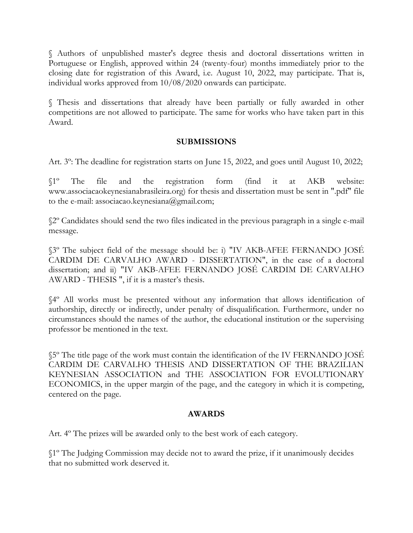§ Authors of unpublished master's degree thesis and doctoral dissertations written in Portuguese or English, approved within 24 (twenty-four) months immediately prior to the closing date for registration of this Award, i.e. August 10, 2022, may participate. That is, individual works approved from 10/08/2020 onwards can participate.

§ Thesis and dissertations that already have been partially or fully awarded in other competitions are not allowed to participate. The same for works who have taken part in this Award.

#### **SUBMISSIONS**

Art. 3º: The deadline for registration starts on June 15, 2022, and goes until August 10, 2022;

§1º The file and the registration form (find it at AKB website: www.associacaokeynesianabrasileira.org) for thesis and dissertation must be sent in ".pdf" file to the e-mail: associacao.keynesiana@gmail.com;

§2º Candidates should send the two files indicated in the previous paragraph in a single e-mail message.

§3º The subject field of the message should be: i) "IV AKB-AFEE FERNANDO JOSÉ CARDIM DE CARVALHO AWARD - DISSERTATION", in the case of a doctoral dissertation; and ii) "IV AKB-AFEE FERNANDO JOSÉ CARDIM DE CARVALHO AWARD - THESIS ", if it is a master's thesis.

§4º All works must be presented without any information that allows identification of authorship, directly or indirectly, under penalty of disqualification. Furthermore, under no circumstances should the names of the author, the educational institution or the supervising professor be mentioned in the text.

§5º The title page of the work must contain the identification of the IV FERNANDO JOSÉ CARDIM DE CARVALHO THESIS AND DISSERTATION OF THE BRAZILIAN KEYNESIAN ASSOCIATION and THE ASSOCIATION FOR EVOLUTIONARY ECONOMICS, in the upper margin of the page, and the category in which it is competing, centered on the page.

#### **AWARDS**

Art. 4º The prizes will be awarded only to the best work of each category.

§1º The Judging Commission may decide not to award the prize, if it unanimously decides that no submitted work deserved it.